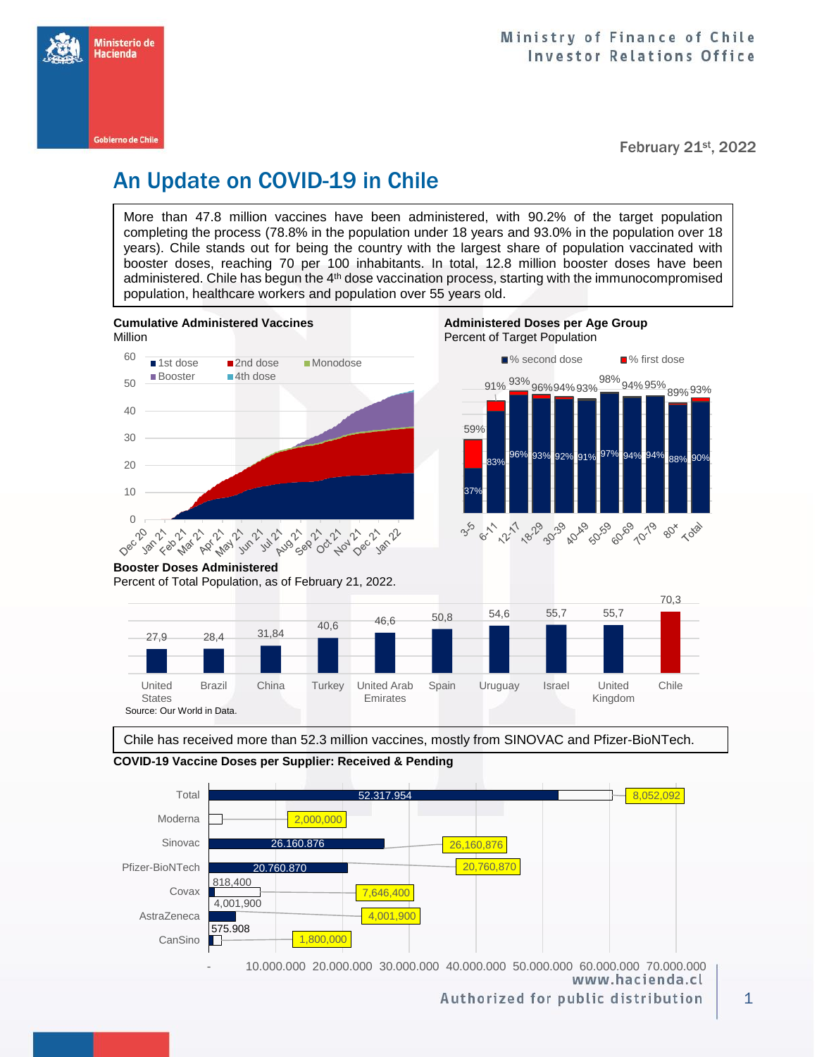

February 21st, 2022

## An Update on COVID-19 in Chile

More than 47.8 million vaccines have been administered, with 90.2% of the target population completing the process (78.8% in the population under 18 years and 93.0% in the population over 18 years). Chile stands out for being the country with the largest share of population vaccinated with booster doses, reaching 70 per 100 inhabitants. In total, 12.8 million booster doses have been administered. Chile has begun the 4<sup>th</sup> dose vaccination process, starting with the immunocompromised population, healthcare workers and population over 55 years old.



**Cumulative Administered Vaccines Administered Doses per Age Group** 



#### **Booster Doses Administered**

Percent of Total Population, as of February 21, 2022.



Chile has received more than 52.3 million vaccines, mostly from SINOVAC and Pfizer-BioNTech.





 - 10.000.000 20.000.000 30.000.000 40.000.000 50.000.000 60.000.000 70.000.000 www.hacienda.cl

Authorized for public distribution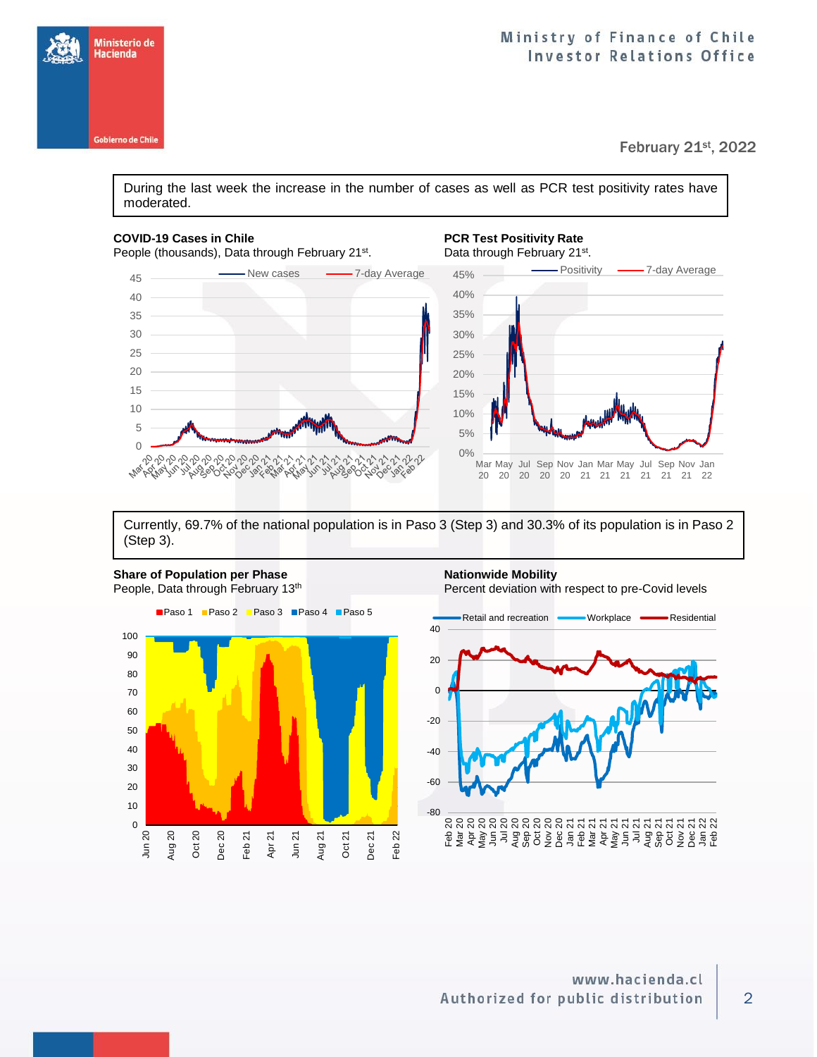

February 21st, 2022

During the last week the increase in the number of cases as well as PCR test positivity rates have moderated.

#### **COVID-19 Cases in Chile PCR Test Positivity Rate**

Ministerio de<br>Hacienda

**Gobierno de Chile** 

People (thousands), Data through February 21<sup>st</sup>.

. Data through February 21<sup>st</sup>.



Currently, 69.7% of the national population is in Paso 3 (Step 3) and 30.3% of its population is in Paso 2 (Step 3).





### 2